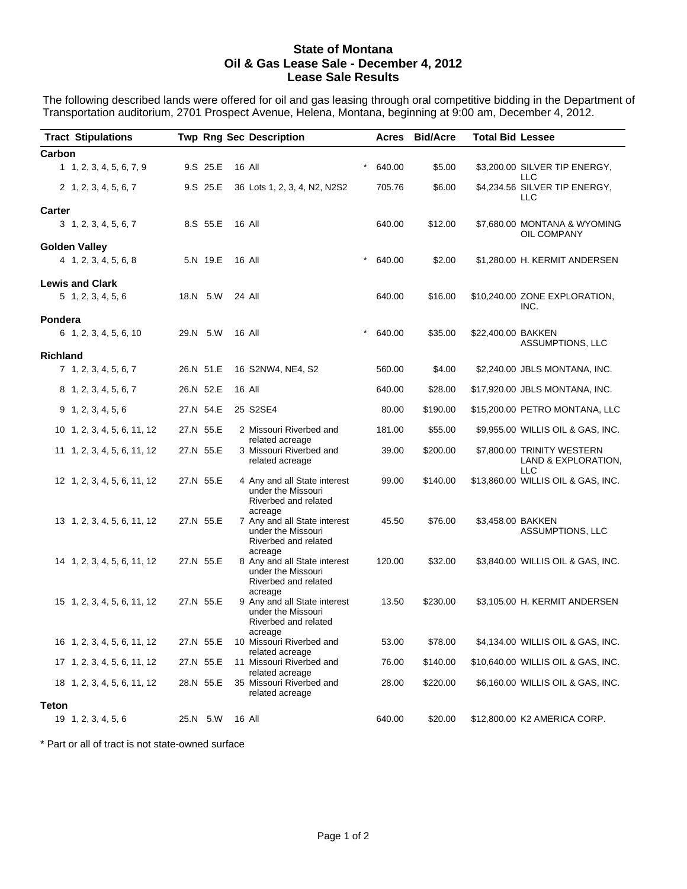## **State of Montana Oil & Gas Lease Sale - December 4, 2012 Lease Sale Results**

The following described lands were offered for oil and gas leasing through oral competitive bidding in the Department of Transportation auditorium, 2701 Prospect Avenue, Helena, Montana, beginning at 9:00 am, December 4, 2012.

| <b>Tract Stipulations</b>   |           | <b>Twp Rng Sec Description</b>                                                        | Acres             | <b>Bid/Acre</b> | <b>Total Bid Lessee</b> |                                                                 |
|-----------------------------|-----------|---------------------------------------------------------------------------------------|-------------------|-----------------|-------------------------|-----------------------------------------------------------------|
| Carbon                      |           |                                                                                       |                   |                 |                         |                                                                 |
| 1, 1, 2, 3, 4, 5, 6, 7, 9   | 9.S 25.E  | 16 All                                                                                | 640.00            | \$5.00          |                         | \$3,200.00 SILVER TIP ENERGY,                                   |
| 2 1, 2, 3, 4, 5, 6, 7       | 9.S 25.E  | 36 Lots 1, 2, 3, 4, N2, N2S2                                                          | 705.76            | \$6.00          |                         | LLC<br>\$4,234.56 SILVER TIP ENERGY,<br>LLC                     |
| <b>Carter</b>               |           |                                                                                       |                   |                 |                         |                                                                 |
| 3, 1, 2, 3, 4, 5, 6, 7      | 8.S 55.E  | 16 All                                                                                | 640.00            | \$12.00         |                         | \$7,680.00 MONTANA & WYOMING<br>OIL COMPANY                     |
| <b>Golden Valley</b>        |           |                                                                                       |                   |                 |                         |                                                                 |
| 4 1, 2, 3, 4, 5, 6, 8       | 5.N 19.E  | 16 All                                                                                | $\star$<br>640.00 | \$2.00          |                         | \$1,280.00 H. KERMIT ANDERSEN                                   |
| <b>Lewis and Clark</b>      |           |                                                                                       |                   |                 |                         |                                                                 |
| $5$ 1, 2, 3, 4, 5, 6        | 18.N 5.W  | 24 All                                                                                | 640.00            | \$16.00         |                         | \$10,240.00 ZONE EXPLORATION,<br>INC.                           |
| Pondera                     |           |                                                                                       |                   |                 |                         |                                                                 |
| 6 1, 2, 3, 4, 5, 6, 10      | 29.N 5.W  | 16 All                                                                                | $\star$<br>640.00 | \$35.00         | \$22,400.00 BAKKEN      | ASSUMPTIONS, LLC                                                |
| <b>Richland</b>             |           |                                                                                       |                   |                 |                         |                                                                 |
| 7 1, 2, 3, 4, 5, 6, 7       | 26.N 51.E | 16 S2NW4, NE4, S2                                                                     | 560.00            | \$4.00          |                         | \$2,240.00 JBLS MONTANA, INC.                                   |
| 8 1, 2, 3, 4, 5, 6, 7       | 26.N 52.E | 16 All                                                                                | 640.00            | \$28.00         |                         | \$17,920.00 JBLS MONTANA, INC.                                  |
| $9$ 1, 2, 3, 4, 5, 6        | 27.N 54.E | 25 S2SE4                                                                              | 80.00             | \$190.00        |                         | \$15,200.00 PETRO MONTANA, LLC                                  |
| 10 1, 2, 3, 4, 5, 6, 11, 12 | 27.N 55.E | 2 Missouri Riverbed and                                                               | 181.00            | \$55.00         |                         | \$9,955.00 WILLIS OIL & GAS, INC.                               |
| 11 1, 2, 3, 4, 5, 6, 11, 12 | 27.N 55.E | related acreage<br>3 Missouri Riverbed and<br>related acreage                         | 39.00             | \$200.00        |                         | \$7,800.00 TRINITY WESTERN<br>LAND & EXPLORATION,<br><b>LLC</b> |
| 12 1, 2, 3, 4, 5, 6, 11, 12 | 27.N 55.E | 4 Any and all State interest<br>under the Missouri<br>Riverbed and related<br>acreage | 99.00             | \$140.00        |                         | \$13,860.00 WILLIS OIL & GAS, INC.                              |
| 13 1, 2, 3, 4, 5, 6, 11, 12 | 27.N 55.E | 7 Any and all State interest<br>under the Missouri<br>Riverbed and related            | 45.50             | \$76.00         | \$3,458.00 BAKKEN       | ASSUMPTIONS, LLC                                                |
| 14 1, 2, 3, 4, 5, 6, 11, 12 | 27.N 55.E | acreage<br>8 Any and all State interest<br>under the Missouri<br>Riverbed and related | 120.00            | \$32.00         |                         | \$3,840.00 WILLIS OIL & GAS, INC.                               |
| 15 1, 2, 3, 4, 5, 6, 11, 12 | 27.N 55.E | acreage<br>9 Any and all State interest<br>under the Missouri<br>Riverbed and related | 13.50             | \$230.00        |                         | \$3,105.00 H. KERMIT ANDERSEN                                   |
| 16 1, 2, 3, 4, 5, 6, 11, 12 | 27.N 55.E | acreage<br>10 Missouri Riverbed and                                                   | 53.00             | \$78.00         |                         | \$4,134.00 WILLIS OIL & GAS, INC.                               |
| 17 1, 2, 3, 4, 5, 6, 11, 12 | 27.N 55.E | related acreage<br>11 Missouri Riverbed and                                           | 76.00             | \$140.00        |                         | \$10,640.00 WILLIS OIL & GAS, INC.                              |
| 18 1, 2, 3, 4, 5, 6, 11, 12 | 28.N 55.E | related acreage<br>35 Missouri Riverbed and<br>related acreage                        | 28.00             | \$220.00        |                         | \$6,160.00 WILLIS OIL & GAS, INC.                               |
| <b>Teton</b>                |           |                                                                                       |                   |                 |                         |                                                                 |
| 19 1, 2, 3, 4, 5, 6         | 25.N 5.W  | 16 All                                                                                | 640.00            | \$20.00         |                         | \$12,800.00 K2 AMERICA CORP.                                    |

\* Part or all of tract is not state-owned surface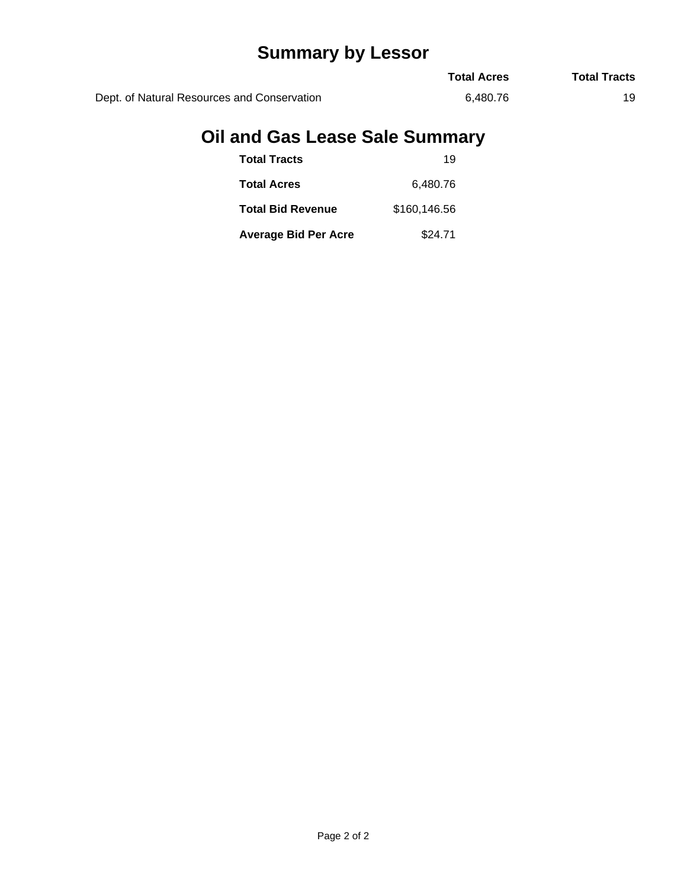## **Summary by Lessor**

|                                             | <b>Total Acres</b> | <b>Total Tracts</b> |
|---------------------------------------------|--------------------|---------------------|
| Dept. of Natural Resources and Conservation | 6.480.76           |                     |

## **Oil and Gas Lease Sale Summary**

| <b>Total Tracts</b>         | 19           |
|-----------------------------|--------------|
| <b>Total Acres</b>          | 6,480.76     |
| <b>Total Bid Revenue</b>    | \$160,146.56 |
| <b>Average Bid Per Acre</b> | \$24.71      |